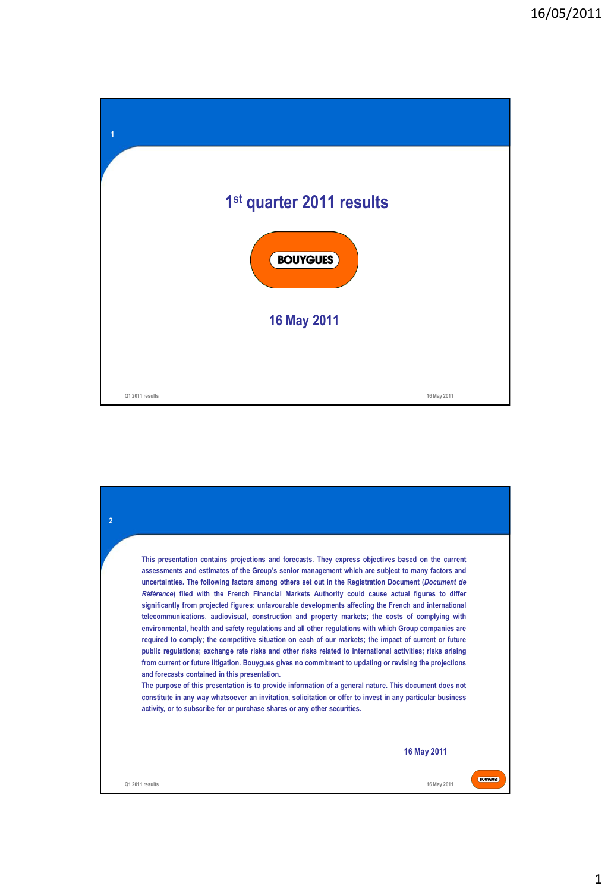| 1               |                                      |             |
|-----------------|--------------------------------------|-------------|
|                 |                                      |             |
|                 | 1 <sup>st</sup> quarter 2011 results |             |
|                 | <b>BOUYGUES</b>                      |             |
|                 | <b>16 May 2011</b>                   |             |
|                 |                                      |             |
| Q1 2011 results |                                      | 16 May 2011 |

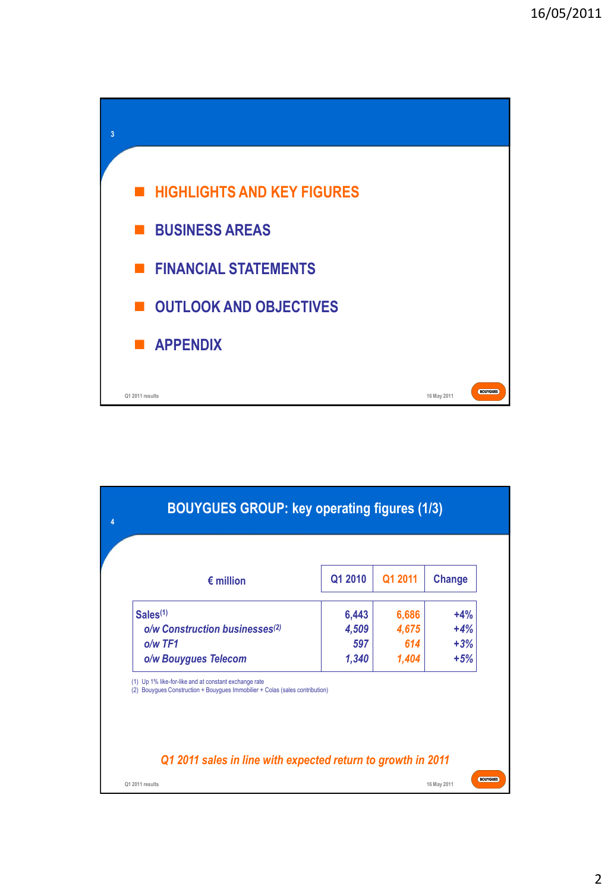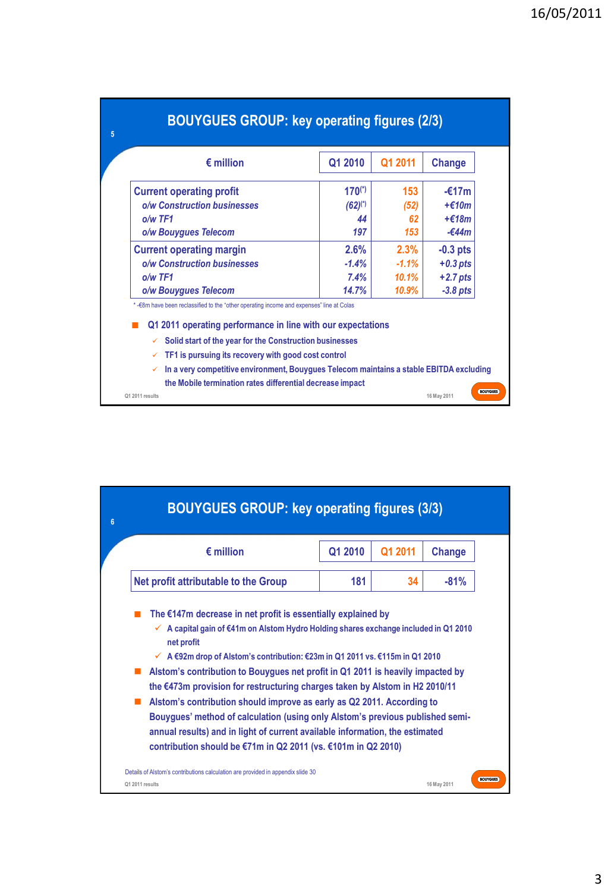| <b>BOUYGUES GROUP: key operating figures (2/3)</b>                                                                                                                                                                                                                                        |              |                 |                          |
|-------------------------------------------------------------------------------------------------------------------------------------------------------------------------------------------------------------------------------------------------------------------------------------------|--------------|-----------------|--------------------------|
| $\epsilon$ million                                                                                                                                                                                                                                                                        | Q1 2010      | Q1 2011         | Change                   |
| <b>Current operating profit</b>                                                                                                                                                                                                                                                           | $170^{(*)}$  | 153             | $-£17m$                  |
| o/w Construction businesses                                                                                                                                                                                                                                                               | $(62)^{(*)}$ | (52)            | $+$ $£10m$               |
| $o/w$ TF1                                                                                                                                                                                                                                                                                 | 44           | 62              | $+£18m$                  |
| o/w Bouygues Telecom                                                                                                                                                                                                                                                                      | 197          | 153             | -€44m                    |
| <b>Current operating margin</b>                                                                                                                                                                                                                                                           | 2.6%         | 2.3%<br>$-1.1%$ | $-0.3$ pts<br>$+0.3$ pts |
| o/w Construction businesses                                                                                                                                                                                                                                                               | $-1.4%$      |                 |                          |
| $o/w$ TF1                                                                                                                                                                                                                                                                                 | 7.4%         | 10.1%           | $+2.7$ pts               |
| o/w Bouygues Telecom                                                                                                                                                                                                                                                                      | 14.7%        | 10.9%           | $-3.8$ pts               |
| *- €8m have been reclassified to the "other operating income and expenses" line at Colas<br>Q1 2011 operating performance in line with our expectations<br>Solid start of the year for the Construction businesses<br>$\checkmark$<br>TF1 is pursuing its recovery with good cost control |              |                 |                          |
| In a very competitive environment, Bouygues Telecom maintains a stable EBITDA excluding<br>$\checkmark$<br>the Mobile termination rates differential decrease impact<br>Q1 2011 results                                                                                                   |              |                 | 16 May 2011              |

| <b>BOUYGUES GROUP: key operating figures (3/3)</b>                                                                                                                                                                                                                                                                                                                                                                                                                                                                                                                                                                                                                                                     |         |         |             |  |  |
|--------------------------------------------------------------------------------------------------------------------------------------------------------------------------------------------------------------------------------------------------------------------------------------------------------------------------------------------------------------------------------------------------------------------------------------------------------------------------------------------------------------------------------------------------------------------------------------------------------------------------------------------------------------------------------------------------------|---------|---------|-------------|--|--|
| $\epsilon$ million                                                                                                                                                                                                                                                                                                                                                                                                                                                                                                                                                                                                                                                                                     | Q1 2010 | Q1 2011 | Change      |  |  |
| Net profit attributable to the Group                                                                                                                                                                                                                                                                                                                                                                                                                                                                                                                                                                                                                                                                   | 181     | 34      | $-81%$      |  |  |
| A capital gain of €41m on Alstom Hydro Holding shares exchange included in Q1 2010<br>net profit<br>$\checkmark$ A $\epsilon$ 92m drop of Alstom's contribution: $\epsilon$ 23m in Q1 2011 vs. $\epsilon$ 115m in Q1 2010<br>Alstom's contribution to Bouygues net profit in Q1 2011 is heavily impacted by<br>the €473m provision for restructuring charges taken by Alstom in H2 2010/11<br>Alstom's contribution should improve as early as Q2 2011. According to<br>Bouygues' method of calculation (using only Alstom's previous published semi-<br>annual results) and in light of current available information, the estimated<br>contribution should be €71m in Q2 2011 (vs. €101m in Q2 2010) |         |         |             |  |  |
| Details of Alstom's contributions calculation are provided in appendix slide 30<br>Q1 2011 results                                                                                                                                                                                                                                                                                                                                                                                                                                                                                                                                                                                                     |         |         | 16 May 2011 |  |  |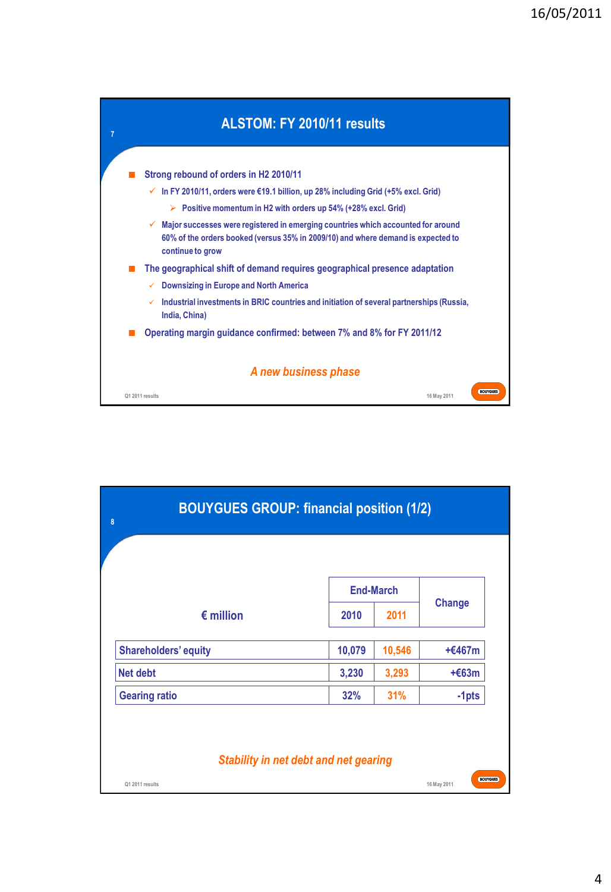

| 8                           | <b>BOUYGUES GROUP: financial position (1/2)</b> |                  |               |
|-----------------------------|-------------------------------------------------|------------------|---------------|
|                             |                                                 |                  |               |
|                             |                                                 | <b>End-March</b> |               |
| $\epsilon$ million          | 2010                                            | 2011             | <b>Change</b> |
| <b>Shareholders' equity</b> | 10,079                                          | 10,546           | $+£467m$      |
| <b>Net debt</b>             | 3,230                                           | 3,293            | $+663m$       |
| <b>Gearing ratio</b>        | 32%                                             | 31%              | $-1pts$       |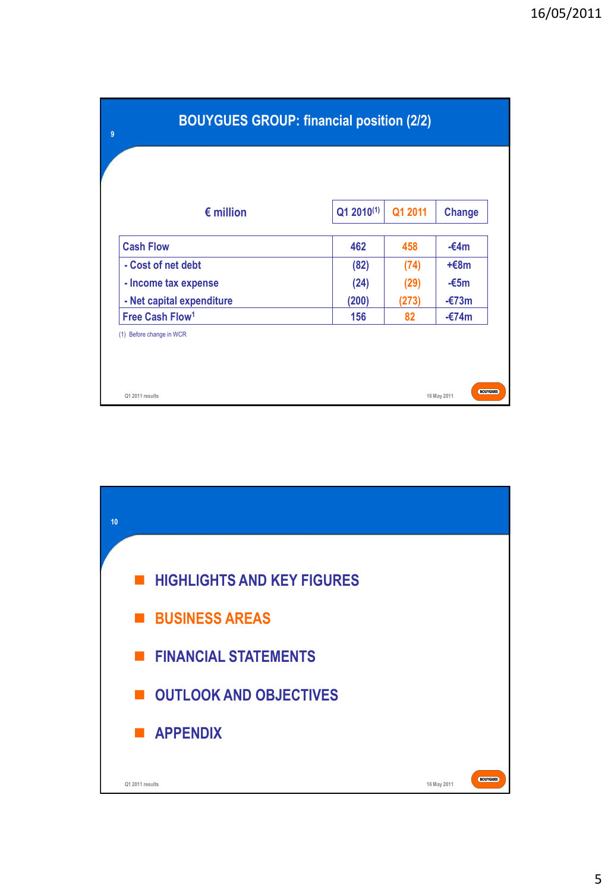| <b>BOUYGUES GROUP: financial position (2/2)</b> |                        |         |                 |
|-------------------------------------------------|------------------------|---------|-----------------|
| $\epsilon$ million                              | Q1 2010 <sup>(1)</sup> | Q1 2011 | <b>Change</b>   |
| <b>Cash Flow</b>                                | 462                    | 458     | $-64m$          |
| - Cost of net debt                              | (82)                   | (74)    | $+68m$          |
| - Income tax expense                            | (24)                   | (29)    | $-65m$          |
| - Net capital expenditure                       | (200)                  | (273)   | $-\epsilon$ 73m |
| Free Cash Flow <sup>1</sup>                     | 156                    | 82      | $-£74m$         |

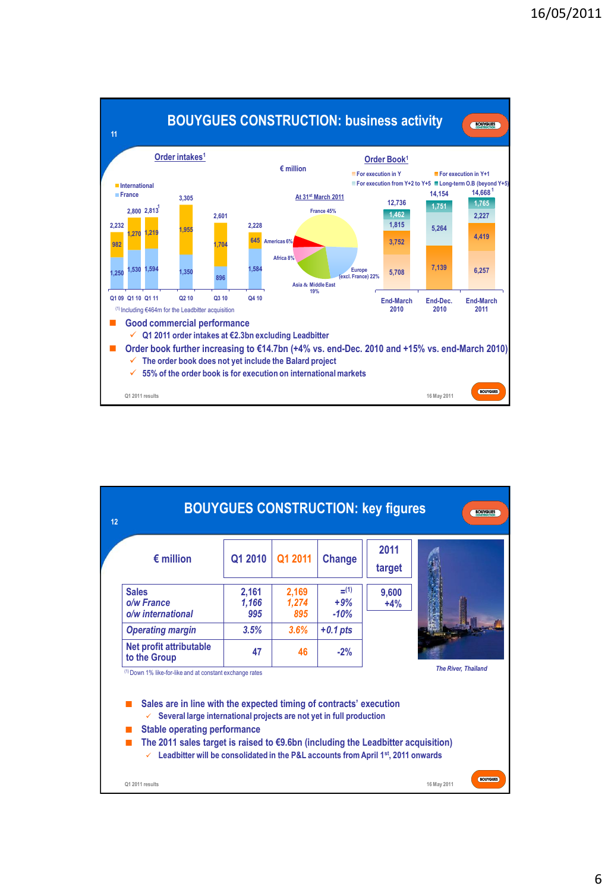

| $\epsilon$ million                                                                                                                                                                                                                                                                  | Q1 2010               | Q1 2011               | Change                     | 2011<br>target |                            |
|-------------------------------------------------------------------------------------------------------------------------------------------------------------------------------------------------------------------------------------------------------------------------------------|-----------------------|-----------------------|----------------------------|----------------|----------------------------|
| <b>Sales</b><br>o/w France<br>o/w international                                                                                                                                                                                                                                     | 2,161<br>1,166<br>995 | 2,169<br>1,274<br>895 | $=$ (1)<br>$+9%$<br>$-10%$ | 9,600<br>$+4%$ |                            |
| <b>Operating margin</b>                                                                                                                                                                                                                                                             | 3.5%                  | 3.6%                  | $+0.1$ pts                 |                |                            |
| Net profit attributable<br>to the Group                                                                                                                                                                                                                                             | 47                    | 46                    | $-2%$                      |                |                            |
| <sup>(1)</sup> Down 1% like-for-like and at constant exchange rates                                                                                                                                                                                                                 |                       |                       |                            |                | <b>The River, Thaïland</b> |
| Sales are in line with the expected timing of contracts' execution<br>Several large international projects are not yet in full production<br>✓<br><b>Stable operating performance</b><br>The 2011 sales target is raised to $\epsilon$ 9.6bn (including the Leadbitter acquisition) |                       |                       |                            |                |                            |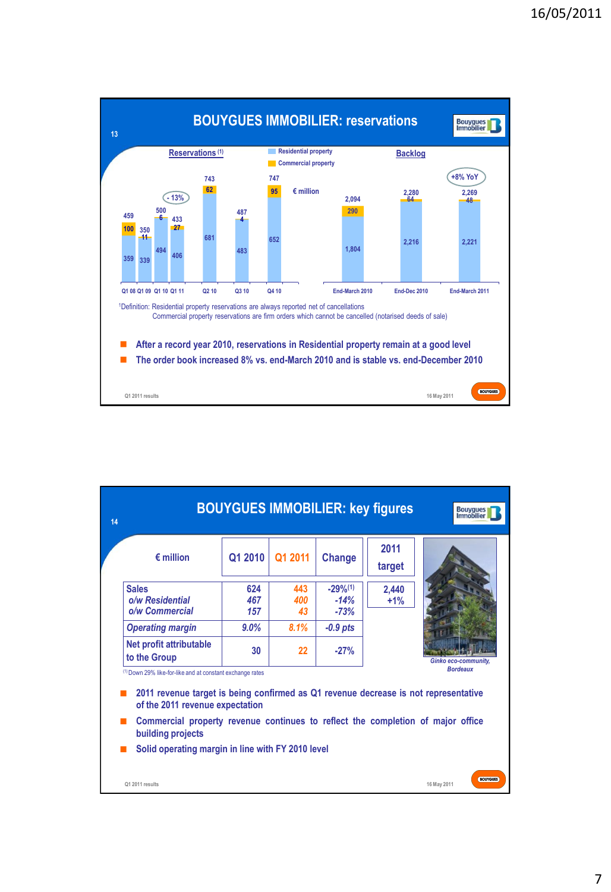

| 14 |                                                                                                                                                                                     |                   |                  |                                   | <b>BOUYGUES IMMOBILIER: key figures</b> | <b>Bouygues</b><br>Immobilier  |
|----|-------------------------------------------------------------------------------------------------------------------------------------------------------------------------------------|-------------------|------------------|-----------------------------------|-----------------------------------------|--------------------------------|
|    | $\epsilon$ million                                                                                                                                                                  | Q1 2010           | Q1 2011          | Change                            | 2011<br>target                          |                                |
|    | <b>Sales</b><br>o/w Residential<br>o/w Commercial                                                                                                                                   | 624<br>467<br>157 | 443<br>400<br>43 | $-29\%^{(1)}$<br>$-14%$<br>$-73%$ | 2,440<br>$+1%$                          |                                |
|    | <b>Operating margin</b>                                                                                                                                                             | $9.0\%$           | 8.1%             | $-0.9$ pts                        |                                         |                                |
|    | Net profit attributable<br>to the Group                                                                                                                                             | 30                | 22               | $-27%$                            |                                         | <b>Ginko eco-community,</b>    |
|    | (1) Down 29% like-for-like and at constant exchange rates<br>2011 revenue target is being confirmed as Q1 revenue decrease is not representative<br>of the 2011 revenue expectation |                   |                  |                                   |                                         | <b>Bordeaux</b>                |
|    | Commercial property revenue continues to reflect the completion of major office<br>building projects                                                                                |                   |                  |                                   |                                         |                                |
|    | Solid operating margin in line with FY 2010 level                                                                                                                                   |                   |                  |                                   |                                         |                                |
|    | Q1 2011 results                                                                                                                                                                     |                   |                  |                                   |                                         | <b>BOUYGUES</b><br>16 May 2011 |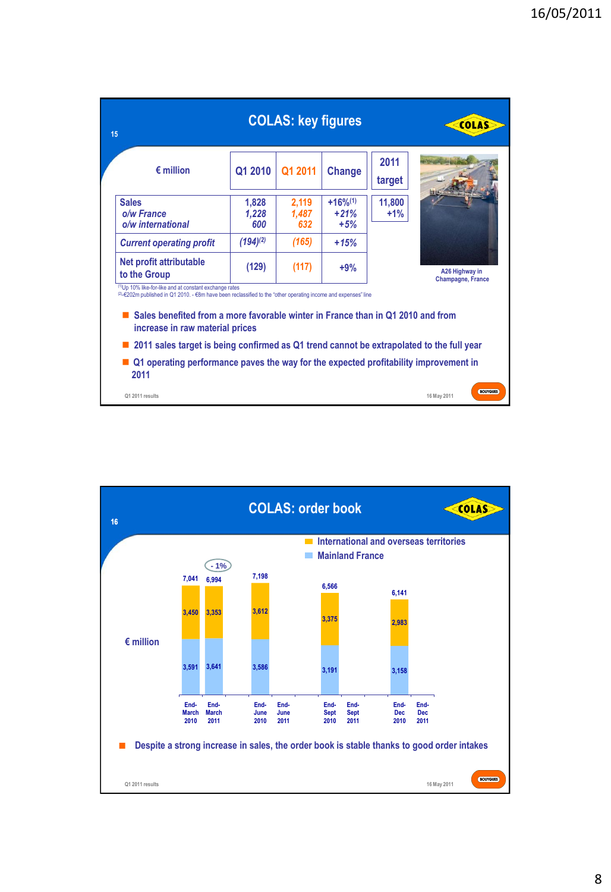| 15                                                                                                                                                                                                                                                                                                                     |                       | <b>COLAS: key figures</b> |                                 |                  | <b>COLAS</b>                               |
|------------------------------------------------------------------------------------------------------------------------------------------------------------------------------------------------------------------------------------------------------------------------------------------------------------------------|-----------------------|---------------------------|---------------------------------|------------------|--------------------------------------------|
| $\epsilon$ million                                                                                                                                                                                                                                                                                                     | Q1 2010               | Q1 2011                   | <b>Change</b>                   | 2011<br>target   |                                            |
| <b>Sales</b><br>o/w France<br>o/w international                                                                                                                                                                                                                                                                        | 1,828<br>1,228<br>600 | 2,119<br>1,487<br>632     | $+16%^{(1)}$<br>$+21%$<br>$+5%$ | 11,800<br>$+1\%$ |                                            |
| <b>Current operating profit</b>                                                                                                                                                                                                                                                                                        | $(194)^{(2)}$         | (165)                     | $+15%$                          |                  |                                            |
| Net profit attributable<br>to the Group                                                                                                                                                                                                                                                                                | (129)                 | (117)                     | $+9%$                           |                  | A26 Highway in<br><b>Champagne, France</b> |
| <sup>(1)</sup> Up 10% like-for-like and at constant exchange rates<br><sup>(2)</sup> -€202m published in Q1 2010. - €8m have been reclassified to the "other operating income and expenses" line<br>Sales benefited from a more favorable winter in France than in Q1 2010 and from<br>increase in raw material prices |                       |                           |                                 |                  |                                            |
| 2011 sales target is being confirmed as Q1 trend cannot be extrapolated to the full year                                                                                                                                                                                                                               |                       |                           |                                 |                  |                                            |
| Q1 operating performance paves the way for the expected profitability improvement in<br>2011                                                                                                                                                                                                                           |                       |                           |                                 |                  |                                            |
| Q1 2011 results                                                                                                                                                                                                                                                                                                        |                       |                           |                                 |                  | <b>BOUYGUES</b><br>16 May 2011             |

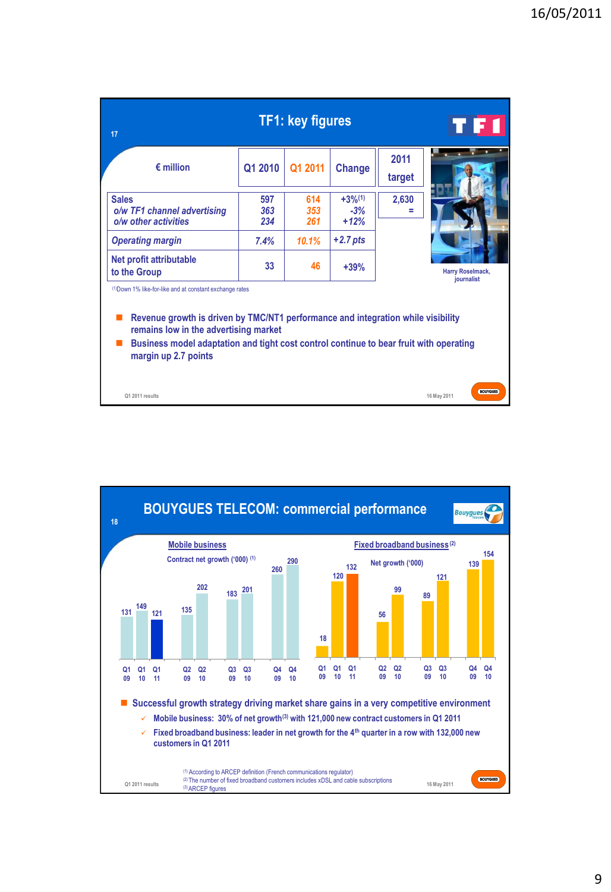| 17                                                                                                                                                                                                                                                                                                      |                   | <b>TF1: key figures</b> |                                         |                | ETI<br>h d                     |
|---------------------------------------------------------------------------------------------------------------------------------------------------------------------------------------------------------------------------------------------------------------------------------------------------------|-------------------|-------------------------|-----------------------------------------|----------------|--------------------------------|
| $\epsilon$ million                                                                                                                                                                                                                                                                                      | Q1 2010           | Q1 2011                 | <b>Change</b>                           | 2011<br>target |                                |
| <b>Sales</b><br>o/w TF1 channel advertising<br>o/w other activities                                                                                                                                                                                                                                     | 597<br>363<br>234 | 614<br>353<br>261       | $+3%$ <sup>(1)</sup><br>$-3%$<br>$+12%$ | 2,630          |                                |
| <b>Operating margin</b>                                                                                                                                                                                                                                                                                 | 7.4%              | 10.1%                   | $+2.7$ pts                              |                |                                |
| Net profit attributable<br>to the Group                                                                                                                                                                                                                                                                 | 33                | 46                      | $+39%$                                  |                | Harry Roselmack,<br>journalist |
| (1) Down 1% like-for-like and at constant exchange rates<br>Revenue growth is driven by TMC/NT1 performance and integration while visibility<br>remains low in the advertising market<br>Business model adaptation and tight cost control continue to bear fruit with operating<br>margin up 2.7 points |                   |                         |                                         |                |                                |
| Q1 2011 results                                                                                                                                                                                                                                                                                         |                   |                         |                                         |                | <b>BOUYGUES</b><br>16 May 2011 |

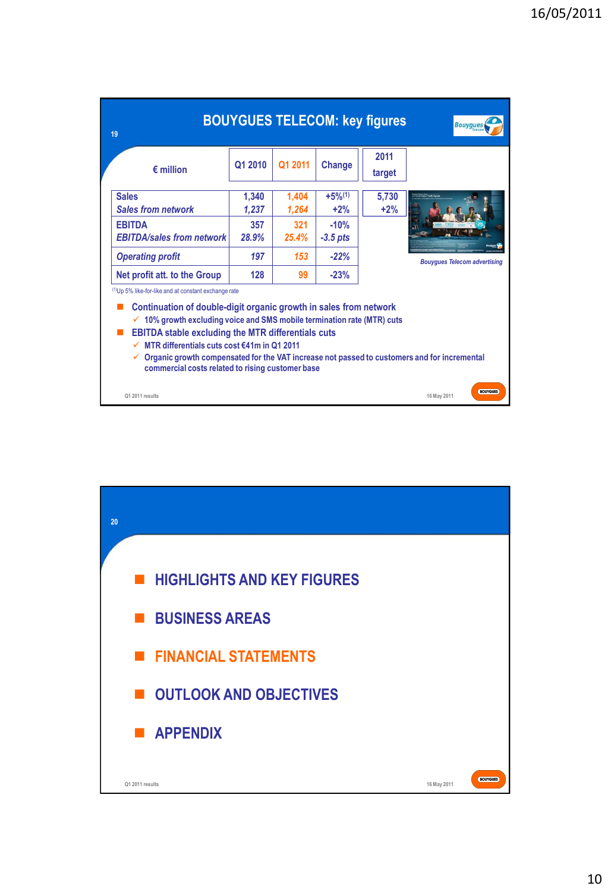| 19                                                                                                                                                                                                                                                                                                                                                                                                                                                                                            |                |                |                      | <b>BOUYGUES TELECOM: key figures</b> | <b>Bouygues</b>                     |
|-----------------------------------------------------------------------------------------------------------------------------------------------------------------------------------------------------------------------------------------------------------------------------------------------------------------------------------------------------------------------------------------------------------------------------------------------------------------------------------------------|----------------|----------------|----------------------|--------------------------------------|-------------------------------------|
| $\epsilon$ million                                                                                                                                                                                                                                                                                                                                                                                                                                                                            | Q1 2010        | Q1 2011        | <b>Change</b>        | 2011<br>target                       |                                     |
| <b>Sales</b><br><b>Sales from network</b>                                                                                                                                                                                                                                                                                                                                                                                                                                                     | 1,340<br>1,237 | 1,404<br>1.264 | $+5%^{(1)}$<br>$+2%$ | 5,730<br>$+2%$                       |                                     |
| <b>FRITDA</b><br><b>EBITDA/sales from network</b>                                                                                                                                                                                                                                                                                                                                                                                                                                             | 357<br>28.9%   | 321<br>25.4%   | $-10%$<br>$-3.5$ pts |                                      |                                     |
| <b>Operating profit</b>                                                                                                                                                                                                                                                                                                                                                                                                                                                                       | 197            | 153            | $-22%$               |                                      | <b>Bouygues Telecom advertising</b> |
| Net profit att. to the Group                                                                                                                                                                                                                                                                                                                                                                                                                                                                  | 128            | 99             | $-23%$               |                                      |                                     |
| <sup>(1)</sup> Up 5% like-for-like and at constant exchange rate<br>Continuation of double-digit organic growth in sales from network<br>10% growth excluding voice and SMS mobile termination rate (MTR) cuts<br><b>EBITDA stable excluding the MTR differentials cuts</b><br>MTR differentials cuts cost €41m in Q1 2011<br>$\checkmark$<br>Organic growth compensated for the VAT increase not passed to customers and for incremental<br>commercial costs related to rising customer base |                |                |                      |                                      |                                     |
| Q1 2011 results                                                                                                                                                                                                                                                                                                                                                                                                                                                                               |                |                |                      |                                      | <b>BOUYGUES</b><br>16 May 2011      |

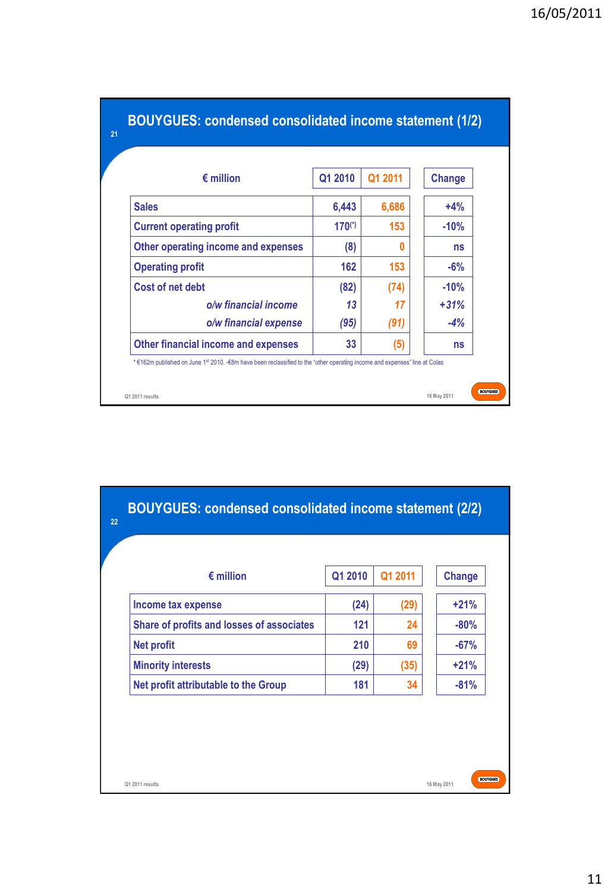| $\epsilon$ million                  | Q1 2010     | Q1 2011 | <b>Change</b> |
|-------------------------------------|-------------|---------|---------------|
| <b>Sales</b>                        | 6,443       | 6,686   | $+4%$         |
| <b>Current operating profit</b>     | $170^{(*)}$ | 153     | $-10%$        |
| Other operating income and expenses | (8)         |         | ns            |
| <b>Operating profit</b>             | 162         | 153     | $-6%$         |
| Cost of net debt                    | (82)        | (74)    | $-10%$        |
| o/w financial income                | 13          | 17      | $+31%$        |
| o/w financial expense               | (95)        | (91)    | $-4%$         |
| Other financial income and expenses | 33          | (5)     | ns            |

| (24)<br>Income tax expense                       |      |        |
|--------------------------------------------------|------|--------|
|                                                  | (29) | $+21%$ |
| Share of profits and losses of associates<br>121 | 24   | $-80%$ |
| 210<br><b>Net profit</b>                         | 69   | $-67%$ |
| <b>Minority interests</b><br>(29)                | (35) | $+21%$ |
| Net profit attributable to the Group<br>181      | 34   | $-81%$ |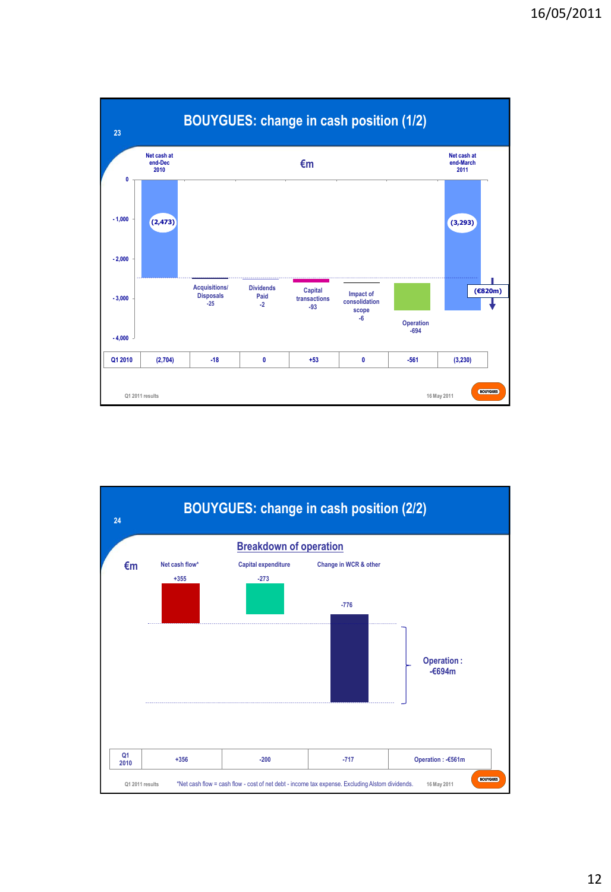

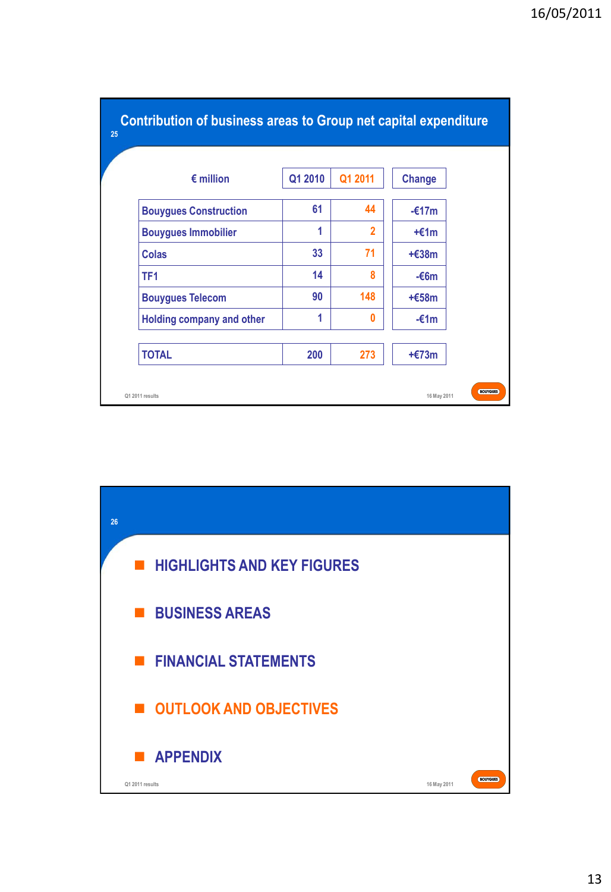| $\epsilon$ million           | Q1 2010 | Q1 2011                  | <b>Change</b> |
|------------------------------|---------|--------------------------|---------------|
| <b>Bouygues Construction</b> | 61      | 44                       | $-£17m$       |
| <b>Bouygues Immobilier</b>   | 1       | $\overline{\phantom{a}}$ | $+£1m$        |
| <b>Colas</b>                 | 33      | 71                       | $+£38m$       |
| TF <sub>1</sub>              | 14      | 8                        | $-66m$        |
| <b>Bouygues Telecom</b>      | 90      | 148                      | $+£58m$       |
| Holding company and other    | 1       | 0                        | $-£1m$        |
| <b>TOTAL</b>                 | 200     | 273                      | $+£73m$       |

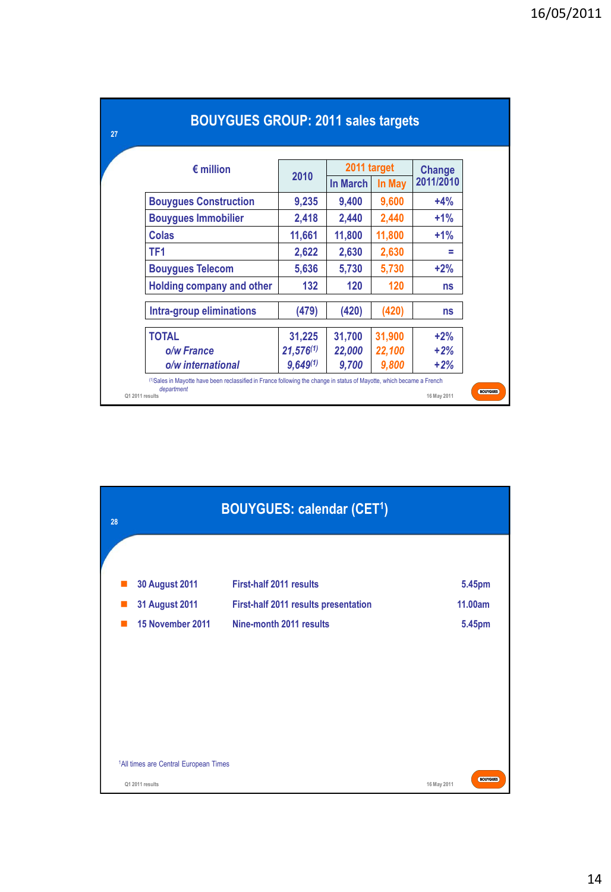|                                  |                |                    | 2011 target |                     |  |
|----------------------------------|----------------|--------------------|-------------|---------------------|--|
| $\epsilon$ million               | 2010           | In March<br>In May |             | Change<br>2011/2010 |  |
| <b>Bouygues Construction</b>     | 9,235          | 9,400              | 9,600       | $+4%$               |  |
| <b>Bouygues Immobilier</b>       | 2,418          | 2,440              | 2,440       | $+1%$               |  |
| Colas                            | 11,661         | 11,800             | 11,800      | $+1%$               |  |
| TF1                              | 2,622          | 2,630              | 2,630       | =                   |  |
| <b>Bouygues Telecom</b>          | 5,636          | 5,730              | 5,730       | $+2%$               |  |
| <b>Holding company and other</b> | 132            | 120                | 120         | ns                  |  |
| Intra-group eliminations         | (479)          | (420)              | (420)       | ns                  |  |
| <b>TOTAL</b>                     | 31,225         | 31,700             | 31,900      | $+2%$               |  |
| o/w France                       | $21,576^{(1)}$ | 22,000             | 22,100      | $+2%$               |  |
| o/w international                | $9,649^{(1)}$  | 9,700              | 9,800       | $+2%$               |  |

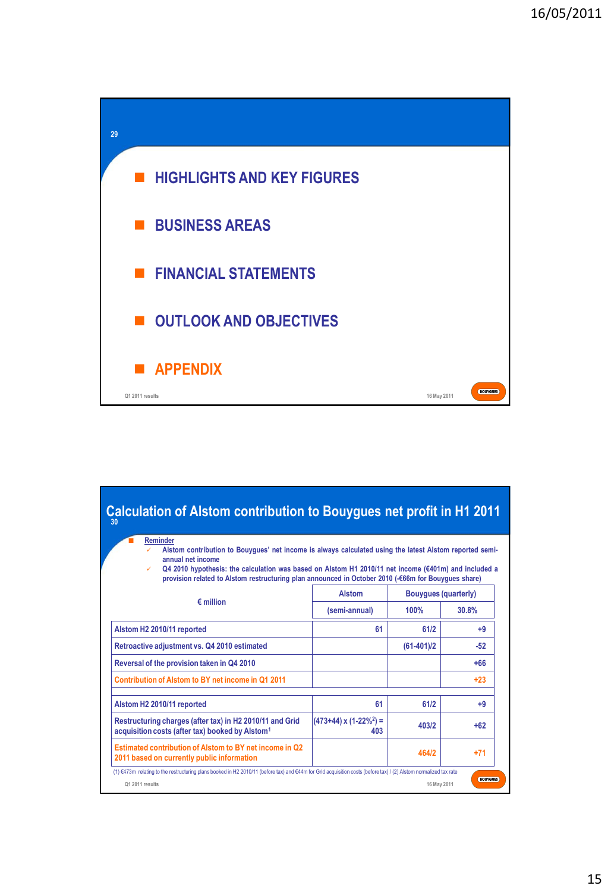

| <b>Reminder</b><br>Alstom contribution to Bouyques' net income is always calculated using the latest Alstom reported semi-<br>annual net income<br>Q4 2010 hypothesis: the calculation was based on Alstom H1 2010/11 net income ( $\epsilon$ 401m) and included a<br>provision related to Alstom restructuring plan announced in October 2010 (-€66m for Bouvques share) |                                     |                             |       |  |
|---------------------------------------------------------------------------------------------------------------------------------------------------------------------------------------------------------------------------------------------------------------------------------------------------------------------------------------------------------------------------|-------------------------------------|-----------------------------|-------|--|
|                                                                                                                                                                                                                                                                                                                                                                           | <b>Alstom</b>                       | <b>Bouyques (quarterly)</b> |       |  |
| $\epsilon$ million                                                                                                                                                                                                                                                                                                                                                        | (semi-annual)                       | 100%<br>30.8%               |       |  |
| Alstom H2 2010/11 reported                                                                                                                                                                                                                                                                                                                                                | 61                                  | 61/2                        | $+9$  |  |
| Retroactive adjustment vs. Q4 2010 estimated                                                                                                                                                                                                                                                                                                                              |                                     | $(61-401)/2$                | $-52$ |  |
| Reversal of the provision taken in Q4 2010                                                                                                                                                                                                                                                                                                                                |                                     |                             | $+66$ |  |
| Contribution of Alstom to BY net income in Q1 2011                                                                                                                                                                                                                                                                                                                        |                                     |                             | $+23$ |  |
| Alstom H2 2010/11 reported                                                                                                                                                                                                                                                                                                                                                | 61                                  | 61/2                        | +9    |  |
| Restructuring charges (after tax) in H2 2010/11 and Grid<br>acquisition costs (after tax) booked by Alstom <sup>1</sup>                                                                                                                                                                                                                                                   | $(473+44) \times (1-22\%) =$<br>403 | 403/2                       | $+62$ |  |
| Estimated contribution of Alstom to BY net income in Q2<br>2011 based on currently public information                                                                                                                                                                                                                                                                     |                                     | 464/2                       | $+71$ |  |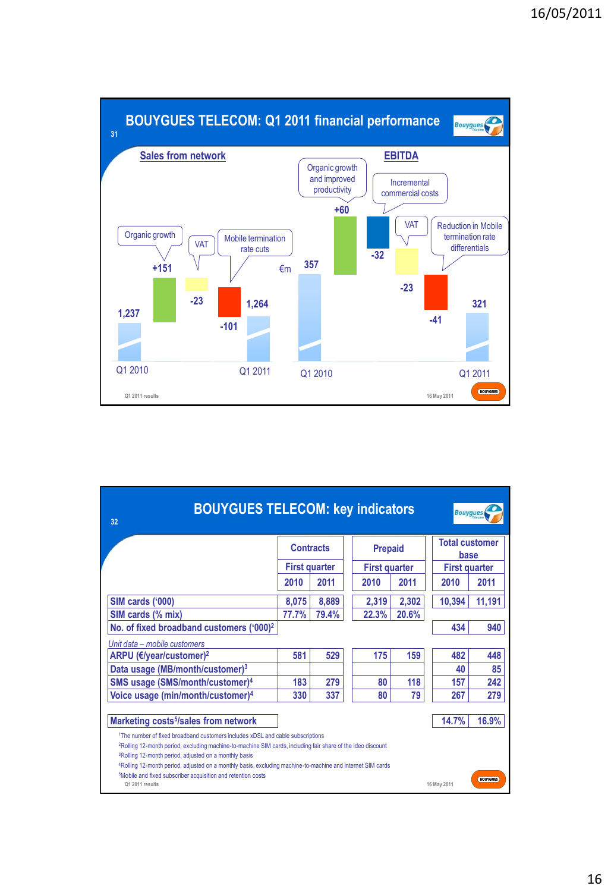

| <b>BOUYGUES TELECOM: key indicators</b><br><b>Bouygues</b><br>32                                                                                                                                                                                                                                                                                                                                                                                                                                                                                      |                                          |       |                                        |       |                               |        |  |
|-------------------------------------------------------------------------------------------------------------------------------------------------------------------------------------------------------------------------------------------------------------------------------------------------------------------------------------------------------------------------------------------------------------------------------------------------------------------------------------------------------------------------------------------------------|------------------------------------------|-------|----------------------------------------|-------|-------------------------------|--------|--|
|                                                                                                                                                                                                                                                                                                                                                                                                                                                                                                                                                       | <b>Contracts</b><br><b>First quarter</b> |       | <b>Prepaid</b><br><b>First quarter</b> |       | <b>Total customer</b><br>base |        |  |
|                                                                                                                                                                                                                                                                                                                                                                                                                                                                                                                                                       |                                          |       |                                        |       | <b>First quarter</b>          |        |  |
|                                                                                                                                                                                                                                                                                                                                                                                                                                                                                                                                                       | 2010                                     | 2011  | 2010                                   | 2011  | 2010                          | 2011   |  |
| SIM cards ('000)                                                                                                                                                                                                                                                                                                                                                                                                                                                                                                                                      | 8,075                                    | 8,889 | 2,319                                  | 2,302 | 10,394                        | 11,191 |  |
| SIM cards (% mix)                                                                                                                                                                                                                                                                                                                                                                                                                                                                                                                                     | 77.7%                                    | 79.4% | 22.3%                                  | 20.6% |                               |        |  |
| No. of fixed broadband customers ('000) <sup>2</sup>                                                                                                                                                                                                                                                                                                                                                                                                                                                                                                  |                                          |       |                                        |       | 434                           | 940    |  |
| Unit data - mobile customers                                                                                                                                                                                                                                                                                                                                                                                                                                                                                                                          |                                          |       |                                        |       |                               |        |  |
| ARPU (€/year/customer) <sup>2</sup>                                                                                                                                                                                                                                                                                                                                                                                                                                                                                                                   | 581                                      | 529   | 175                                    | 159   | 482                           | 448    |  |
| Data usage (MB/month/customer) <sup>3</sup>                                                                                                                                                                                                                                                                                                                                                                                                                                                                                                           |                                          |       |                                        |       | 40                            | 85     |  |
| SMS usage (SMS/month/customer) <sup>4</sup>                                                                                                                                                                                                                                                                                                                                                                                                                                                                                                           | 183                                      | 279   | 80                                     | 118   | 157                           | 242    |  |
| Voice usage (min/month/customer) <sup>4</sup>                                                                                                                                                                                                                                                                                                                                                                                                                                                                                                         | 330                                      | 337   | 80                                     | 79    | 267                           | 279    |  |
| Marketing costs <sup>5</sup> /sales from network                                                                                                                                                                                                                                                                                                                                                                                                                                                                                                      |                                          |       |                                        |       | 14.7%                         | 16.9%  |  |
| <sup>1</sup> The number of fixed broadband customers includes xDSL and cable subscriptions<br><sup>2</sup> Rolling 12-month period, excluding machine-to-machine SIM cards, including fair share of the ideo discount<br><sup>3</sup> Rolling 12-month period, adjusted on a monthly basis<br><sup>4</sup> Rolling 12-month period, adjusted on a monthly basis, excluding machine-to-machine and internet SIM cards<br><sup>5</sup> Mobile and fixed subscriber acquisition and retention costs<br><b>BOUYGUES</b><br>Q1 2011 results<br>16 May 2011 |                                          |       |                                        |       |                               |        |  |